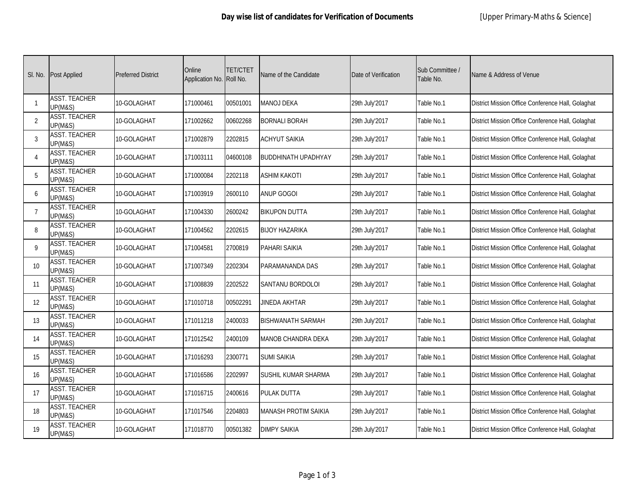| SI. No.        | <b>Post Applied</b>                        | <b>Preferred District</b> | Online<br>Application No. | TET/CTET<br>Roll No. | Name of the Candidate       | Date of Verification | Sub Committee /<br>Table No. | Name & Address of Venue                           |
|----------------|--------------------------------------------|---------------------------|---------------------------|----------------------|-----------------------------|----------------------|------------------------------|---------------------------------------------------|
| $\overline{1}$ | <b>ASST. TEACHER</b><br><b>UP(M&amp;S)</b> | 10-GOLAGHAT               | 171000461                 | 00501001             | <b>MANOJ DEKA</b>           | 29th July'2017       | Table No.1                   | District Mission Office Conference Hall, Golaghat |
| 2              | <b>ASST. TEACHER</b><br><b>UP(M&amp;S)</b> | 10-GOLAGHAT               | 171002662                 | 00602268             | <b>BORNALI BORAH</b>        | 29th July'2017       | Table No.1                   | District Mission Office Conference Hall, Golaghat |
| $\mathbf{3}$   | <b>ASST. TEACHER</b><br><b>UP(M&amp;S)</b> | 10-GOLAGHAT               | 171002879                 | 2202815              | <b>ACHYUT SAIKIA</b>        | 29th July'2017       | Table No.1                   | District Mission Office Conference Hall, Golaghat |
| $\overline{4}$ | <b>ASST. TEACHER</b><br><b>UP(M&amp;S)</b> | 10-GOLAGHAT               | 171003111                 | 04600108             | <b>BUDDHINATH UPADHYAY</b>  | 29th July'2017       | Table No.1                   | District Mission Office Conference Hall, Golaghat |
| 5              | <b>ASST. TEACHER</b><br><b>UP(M&amp;S)</b> | 10-GOLAGHAT               | 171000084                 | 2202118              | <b>ASHIM KAKOTI</b>         | 29th July'2017       | Table No.1                   | District Mission Office Conference Hall, Golaghat |
| 6              | ASST. TEACHER<br><b>UP(M&amp;S)</b>        | 10-GOLAGHAT               | 171003919                 | 2600110              | <b>ANUP GOGOI</b>           | 29th July'2017       | Table No.1                   | District Mission Office Conference Hall, Golaghat |
| $\overline{7}$ | <b>ASST. TEACHER</b><br><b>UP(M&amp;S)</b> | 10-GOLAGHAT               | 171004330                 | 2600242              | <b>BIKUPON DUTTA</b>        | 29th July'2017       | Table No.1                   | District Mission Office Conference Hall, Golaghat |
| 8              | <b>ASST. TEACHER</b><br><b>UP(M&amp;S)</b> | 10-GOLAGHAT               | 171004562                 | 2202615              | <b>BIJOY HAZARIKA</b>       | 29th July'2017       | Table No.1                   | District Mission Office Conference Hall, Golaghat |
| 9              | <b>ASST. TEACHER</b><br><b>UP(M&amp;S)</b> | 10-GOLAGHAT               | 171004581                 | 2700819              | PAHARI SAIKIA               | 29th July'2017       | Table No.1                   | District Mission Office Conference Hall, Golaghat |
| 10             | <b>ASST. TEACHER</b><br><b>UP(M&amp;S)</b> | 10-GOLAGHAT               | 171007349                 | 2202304              | PARAMANANDA DAS             | 29th July'2017       | Table No.1                   | District Mission Office Conference Hall, Golaghat |
| 11             | <b>ASST. TEACHER</b><br><b>UP(M&amp;S)</b> | 10-GOLAGHAT               | 171008839                 | 2202522              | SANTANU BORDOLOI            | 29th July'2017       | Table No.1                   | District Mission Office Conference Hall, Golaghat |
| 12             | <b>ASST. TEACHER</b><br><b>UP(M&amp;S)</b> | 10-GOLAGHAT               | 171010718                 | 00502291             | JINEDA AKHTAR               | 29th July'2017       | Table No.1                   | District Mission Office Conference Hall, Golaghat |
| 13             | <b>ASST. TEACHER</b><br><b>UP(M&amp;S)</b> | 10-GOLAGHAT               | 171011218                 | 2400033              | <b>BISHWANATH SARMAH</b>    | 29th July'2017       | Table No.1                   | District Mission Office Conference Hall, Golaghat |
| 14             | <b>ASST. TEACHER</b><br><b>UP(M&amp;S)</b> | 10-GOLAGHAT               | 171012542                 | 2400109              | <b>MANOB CHANDRA DEKA</b>   | 29th July'2017       | Table No.1                   | District Mission Office Conference Hall, Golaghat |
| 15             | <b>ASST. TEACHER</b><br><b>UP(M&amp;S)</b> | 10-GOLAGHAT               | 171016293                 | 2300771              | <b>SUMI SAIKIA</b>          | 29th July'2017       | Table No.1                   | District Mission Office Conference Hall, Golaghat |
| 16             | <b>ASST. TEACHER</b><br><b>UP(M&amp;S)</b> | 10-GOLAGHAT               | 171016586                 | 2202997              | SUSHIL KUMAR SHARMA         | 29th July'2017       | Table No.1                   | District Mission Office Conference Hall, Golaghat |
| 17             | <b>ASST. TEACHER</b><br><b>UP(M&amp;S)</b> | 10-GOLAGHAT               | 171016715                 | 2400616              | <b>PULAK DUTTA</b>          | 29th July'2017       | Table No.1                   | District Mission Office Conference Hall, Golaghat |
| 18             | <b>ASST. TEACHER</b><br><b>UP(M&amp;S)</b> | 10-GOLAGHAT               | 171017546                 | 2204803              | <b>MANASH PROTIM SAIKIA</b> | 29th July'2017       | Table No.1                   | District Mission Office Conference Hall, Golaghat |
| 19             | <b>ASST. TEACHER</b><br><b>UP(M&amp;S)</b> | 10-GOLAGHAT               | 171018770                 | 00501382             | <b>DIMPY SAIKIA</b>         | 29th July'2017       | Table No.1                   | District Mission Office Conference Hall, Golaghat |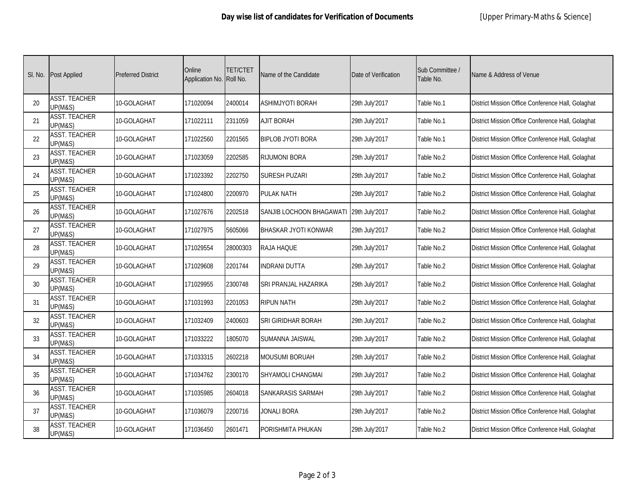| SI. No. | <b>Post Applied</b>                        | <b>Preferred District</b> | Online<br>Application No. | TET/CTET<br>Roll No. | Name of the Candidate       | Date of Verification | Sub Committee /<br>Table No. | Name & Address of Venue                           |
|---------|--------------------------------------------|---------------------------|---------------------------|----------------------|-----------------------------|----------------------|------------------------------|---------------------------------------------------|
| 20      | <b>ASST. TEACHER</b><br><b>UP(M&amp;S)</b> | 10-GOLAGHAT               | 171020094                 | 2400014              | <b>ASHIMJYOTI BORAH</b>     | 29th July'2017       | Table No.1                   | District Mission Office Conference Hall, Golaghat |
| 21      | <b>ASST. TEACHER</b><br><b>UP(M&amp;S)</b> | 10-GOLAGHAT               | 171022111                 | 2311059              | <b>AJIT BORAH</b>           | 29th July'2017       | Table No.1                   | District Mission Office Conference Hall, Golaghat |
| 22      | <b>ASST. TEACHER</b><br><b>UP(M&amp;S)</b> | 10-GOLAGHAT               | 171022560                 | 2201565              | <b>BIPLOB JYOTI BORA</b>    | 29th July'2017       | Table No.1                   | District Mission Office Conference Hall, Golaghat |
| 23      | <b>ASST. TEACHER</b><br><b>UP(M&amp;S)</b> | 10-GOLAGHAT               | 171023059                 | 2202585              | RIJUMONI BORA               | 29th July'2017       | Table No.2                   | District Mission Office Conference Hall, Golaghat |
| 24      | <b>ASST. TEACHER</b><br><b>UP(M&amp;S)</b> | 10-GOLAGHAT               | 171023392                 | 2202750              | SURESH PUZARI               | 29th July'2017       | Table No.2                   | District Mission Office Conference Hall, Golaghat |
| 25      | ASST. TEACHER<br><b>UP(M&amp;S)</b>        | 10-GOLAGHAT               | 171024800                 | 2200970              | <b>PULAK NATH</b>           | 29th July'2017       | Table No.2                   | District Mission Office Conference Hall, Golaghat |
| 26      | <b>ASST. TEACHER</b><br><b>UP(M&amp;S)</b> | 10-GOLAGHAT               | 171027676                 | 2202518              | SANJIB LOCHOON BHAGAWATI    | 29th July'2017       | Table No.2                   | District Mission Office Conference Hall, Golaghat |
| 27      | <b>ASST. TEACHER</b><br><b>UP(M&amp;S)</b> | 10-GOLAGHAT               | 171027975                 | 5605066              | <b>BHASKAR JYOTI KONWAR</b> | 29th July'2017       | Table No.2                   | District Mission Office Conference Hall, Golaghat |
| 28      | <b>ASST. TEACHER</b><br><b>UP(M&amp;S)</b> | 10-GOLAGHAT               | 171029554                 | 28000303             | RAJA HAQUE                  | 29th July'2017       | Table No.2                   | District Mission Office Conference Hall, Golaghat |
| 29      | <b>ASST. TEACHER</b><br><b>UP(M&amp;S)</b> | 10-GOLAGHAT               | 171029608                 | 2201744              | <b>INDRANI DUTTA</b>        | 29th July'2017       | Table No.2                   | District Mission Office Conference Hall, Golaghat |
| 30      | <b>ASST. TEACHER</b><br><b>UP(M&amp;S)</b> | 10-GOLAGHAT               | 171029955                 | 2300748              | SRI PRANJAL HAZARIKA        | 29th July'2017       | Table No.2                   | District Mission Office Conference Hall, Golaghat |
| 31      | <b>ASST. TEACHER</b><br><b>UP(M&amp;S)</b> | 10-GOLAGHAT               | 171031993                 | 2201053              | <b>RIPUN NATH</b>           | 29th July'2017       | Table No.2                   | District Mission Office Conference Hall, Golaghat |
| 32      | <b>ASST. TEACHER</b><br><b>UP(M&amp;S)</b> | 10-GOLAGHAT               | 171032409                 | 2400603              | SRI GIRIDHAR BORAH          | 29th July'2017       | Table No.2                   | District Mission Office Conference Hall, Golaghat |
| 33      | <b>ASST. TEACHER</b><br><b>UP(M&amp;S)</b> | 10-GOLAGHAT               | 171033222                 | 1805070              | SUMANNA JAISWAL             | 29th July'2017       | Table No.2                   | District Mission Office Conference Hall, Golaghat |
| 34      | <b>ASST. TEACHER</b><br><b>UP(M&amp;S)</b> | 10-GOLAGHAT               | 171033315                 | 2602218              | <b>MOUSUMI BORUAH</b>       | 29th July'2017       | Table No.2                   | District Mission Office Conference Hall, Golaghat |
| 35      | <b>ASST. TEACHER</b><br><b>UP(M&amp;S)</b> | 10-GOLAGHAT               | 171034762                 | 2300170              | SHYAMOLI CHANGMAI           | 29th July'2017       | Table No.2                   | District Mission Office Conference Hall, Golaghat |
| 36      | <b>ASST. TEACHER</b><br><b>UP(M&amp;S)</b> | 10-GOLAGHAT               | 171035985                 | 2604018              | SANKARASIS SARMAH           | 29th July'2017       | Table No.2                   | District Mission Office Conference Hall, Golaghat |
| 37      | <b>ASST. TEACHER</b><br><b>UP(M&amp;S)</b> | 10-GOLAGHAT               | 171036079                 | 2200716              | JONALI BORA                 | 29th July'2017       | Table No.2                   | District Mission Office Conference Hall, Golaghat |
| 38      | <b>ASST. TEACHER</b><br><b>UP(M&amp;S)</b> | 10-GOLAGHAT               | 171036450                 | 2601471              | PORISHMITA PHUKAN           | 29th July'2017       | Table No.2                   | District Mission Office Conference Hall, Golaghat |